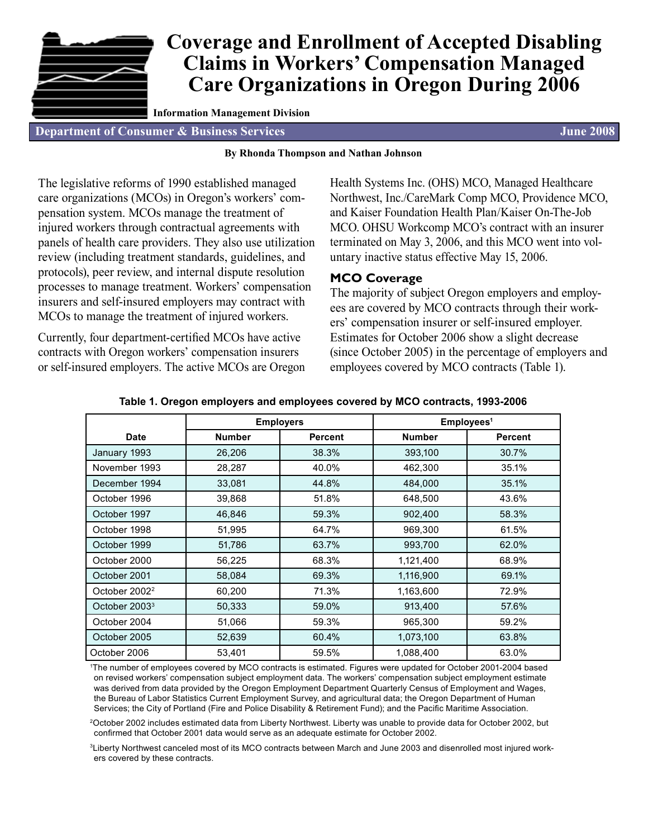# **Coverage and Enrollment of Accepted Disabling Claims in Workers' Compensation Managed Care Organizations in Oregon During 2006**

**Information Management Division**

**Department of Consumer & Business Services June 2008**

#### **By Rhonda Thompson and Nathan Johnson**

The legislative reforms of 1990 established managed care organizations (MCOs) in Oregon's workers' compensation system. MCOs manage the treatment of injured workers through contractual agreements with panels of health care providers. They also use utilization review (including treatment standards, guidelines, and protocols), peer review, and internal dispute resolution processes to manage treatment. Workers' compensation insurers and self-insured employers may contract with MCOs to manage the treatment of injured workers.

Currently, four department-certified MCOs have active contracts with Oregon workers' compensation insurers or self-insured employers. The active MCOs are Oregon Health Systems Inc. (OHS) MCO, Managed Healthcare Northwest, Inc./CareMark Comp MCO, Providence MCO, and Kaiser Foundation Health Plan/Kaiser On-The-Job MCO. OHSU Workcomp MCO's contract with an insurer terminated on May 3, 2006, and this MCO went into voluntary inactive status effective May 15, 2006.

## **MCO Coverage**

The majority of subject Oregon employers and employees are covered by MCO contracts through their workers' compensation insurer or self-insured employer. Estimates for October 2006 show a slight decrease (since October 2005) in the percentage of employers and employees covered by MCO contracts (Table 1).

|                           | <b>Employers</b> |                | Employees <sup>1</sup> |                |  |  |  |
|---------------------------|------------------|----------------|------------------------|----------------|--|--|--|
| <b>Date</b>               | <b>Number</b>    | <b>Percent</b> | <b>Number</b>          | <b>Percent</b> |  |  |  |
| January 1993              | 26,206           | 38.3%          | 393,100                | 30.7%          |  |  |  |
| November 1993             | 28,287           | 40.0%          | 462,300                | 35.1%          |  |  |  |
| December 1994             | 33,081           | 44.8%          | 484,000                | 35.1%          |  |  |  |
| October 1996              | 39,868           | 51.8%          | 648,500                | 43.6%          |  |  |  |
| October 1997              | 46,846           | 59.3%          | 902,400                | 58.3%          |  |  |  |
| October 1998              | 51,995           | 64.7%          | 969,300                | 61.5%          |  |  |  |
| October 1999              | 51,786           | 63.7%          | 993,700                | 62.0%          |  |  |  |
| October 2000              | 56,225           | 68.3%          | 1,121,400              | 68.9%          |  |  |  |
| October 2001              | 58,084           | 69.3%          | 1,116,900              | 69.1%          |  |  |  |
| October 2002 <sup>2</sup> | 60,200           | 71.3%          | 1,163,600              | 72.9%          |  |  |  |
| October 2003 <sup>3</sup> | 50,333           | 59.0%          | 913,400                | 57.6%          |  |  |  |
| October 2004              | 51,066           | 59.3%          | 965,300                | 59.2%          |  |  |  |
| October 2005              | 52,639           | 60.4%          | 1,073,100              | 63.8%          |  |  |  |
| October 2006              | 53,401           | 59.5%          | 1,088,400              | 63.0%          |  |  |  |

#### **Table 1. Oregon employers and employees covered by MCO contracts, 1993-2006**

1 The number of employees covered by MCO contracts is estimated. Figures were updated for October 2001-2004 based on revised workers' compensation subject employment data. The workers' compensation subject employment estimate was derived from data provided by the Oregon Employment Department Quarterly Census of Employment and Wages, the Bureau of Labor Statistics Current Employment Survey, and agricultural data; the Oregon Department of Human Services; the City of Portland (Fire and Police Disability & Retirement Fund); and the Pacific Maritime Association.

2October 2002 includes estimated data from Liberty Northwest. Liberty was unable to provide data for October 2002, but confirmed that October 2001 data would serve as an adequate estimate for October 2002.

3Liberty Northwest canceled most of its MCO contracts between March and June 2003 and disenrolled most injured workers covered by these contracts.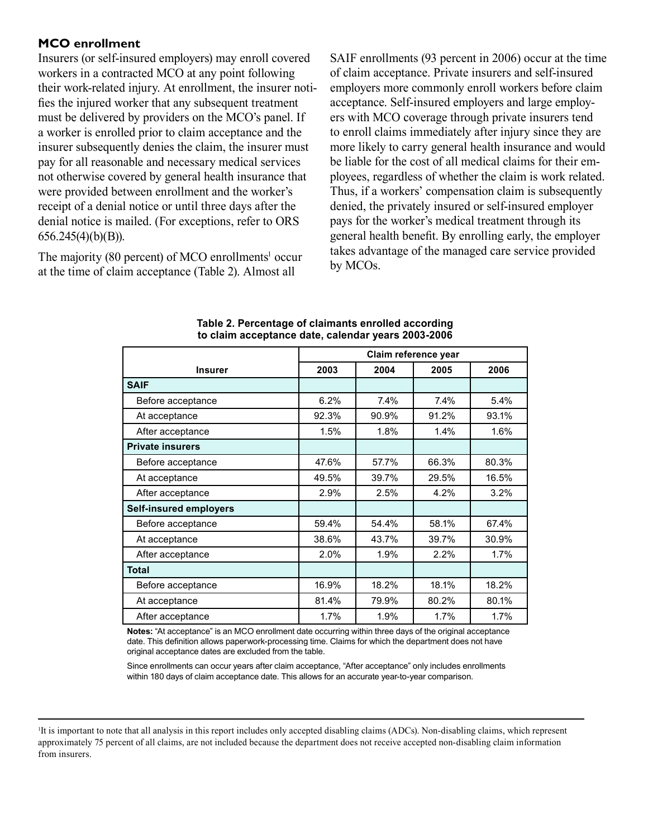## **MCO enrollment**

Insurers (or self-insured employers) may enroll covered workers in a contracted MCO at any point following their work-related injury. At enrollment, the insurer notifies the injured worker that any subsequent treatment must be delivered by providers on the MCO's panel. If a worker is enrolled prior to claim acceptance and the insurer subsequently denies the claim, the insurer must pay for all reasonable and necessary medical services not otherwise covered by general health insurance that were provided between enrollment and the worker's receipt of a denial notice or until three days after the denial notice is mailed. (For exceptions, refer to ORS 656.245(4)(b)(B)).

The majority  $(80 \text{ percent})$  of MCO enrollments<sup>1</sup> occur at the time of claim acceptance (Table 2). Almost all

SAIF enrollments (93 percent in 2006) occur at the time of claim acceptance. Private insurers and self-insured employers more commonly enroll workers before claim acceptance. Self-insured employers and large employers with MCO coverage through private insurers tend to enroll claims immediately after injury since they are more likely to carry general health insurance and would be liable for the cost of all medical claims for their employees, regardless of whether the claim is work related. Thus, if a workers' compensation claim is subsequently denied, the privately insured or self-insured employer pays for the worker's medical treatment through its general health benefit. By enrolling early, the employer takes advantage of the managed care service provided by MCOs.

|                               | Claim reference year |                |       |       |  |  |  |
|-------------------------------|----------------------|----------------|-------|-------|--|--|--|
| <b>Insurer</b>                | 2003                 | 2004           | 2005  | 2006  |  |  |  |
| <b>SAIF</b>                   |                      |                |       |       |  |  |  |
| Before acceptance             | 6.2%                 | 7.4%           | 7.4%  | 5.4%  |  |  |  |
| At acceptance                 | 92.3%                | 90.9%          | 91.2% | 93.1% |  |  |  |
| After acceptance              | 1.5%                 | 1.8%           | 1.4%  | 1.6%  |  |  |  |
| <b>Private insurers</b>       |                      |                |       |       |  |  |  |
| Before acceptance             | 47.6%                | 57.7%          | 66.3% | 80.3% |  |  |  |
| At acceptance                 | 49.5%                | 39.7%          | 29.5% | 16.5% |  |  |  |
| After acceptance              | 2.9%                 | 2.5%           | 4.2%  | 3.2%  |  |  |  |
| <b>Self-insured employers</b> |                      |                |       |       |  |  |  |
| Before acceptance             | 59.4%                | 54.4%          | 58.1% | 67.4% |  |  |  |
| At acceptance                 | 38.6%                | 43.7%          | 39.7% | 30.9% |  |  |  |
| After acceptance              | 2.0%                 | 1.9%           | 2.2%  | 1.7%  |  |  |  |
| <b>Total</b>                  |                      |                |       |       |  |  |  |
| Before acceptance             | 16.9%                | 18.2%          | 18.1% | 18.2% |  |  |  |
| At acceptance                 | 81.4%                | 80.2%<br>79.9% |       | 80.1% |  |  |  |
| After acceptance              | 1.7%                 | 1.9%           | 1.7%  | 1.7%  |  |  |  |

#### **Table 2. Percentage of claimants enrolled according to claim acceptance date, calendar years 2003-2006**

**Notes:** "At acceptance" is an MCO enrollment date occurring within three days of the original acceptance date. This definition allows paperwork-processing time. Claims for which the department does not have original acceptance dates are excluded from the table.

Since enrollments can occur years after claim acceptance, "After acceptance" only includes enrollments within 180 days of claim acceptance date. This allows for an accurate year-to-year comparison.

<sup>1</sup> It is important to note that all analysis in this report includes only accepted disabling claims (ADCs). Non-disabling claims, which represent approximately 75 percent of all claims, are not included because the department does not receive accepted non-disabling claim information from insurers.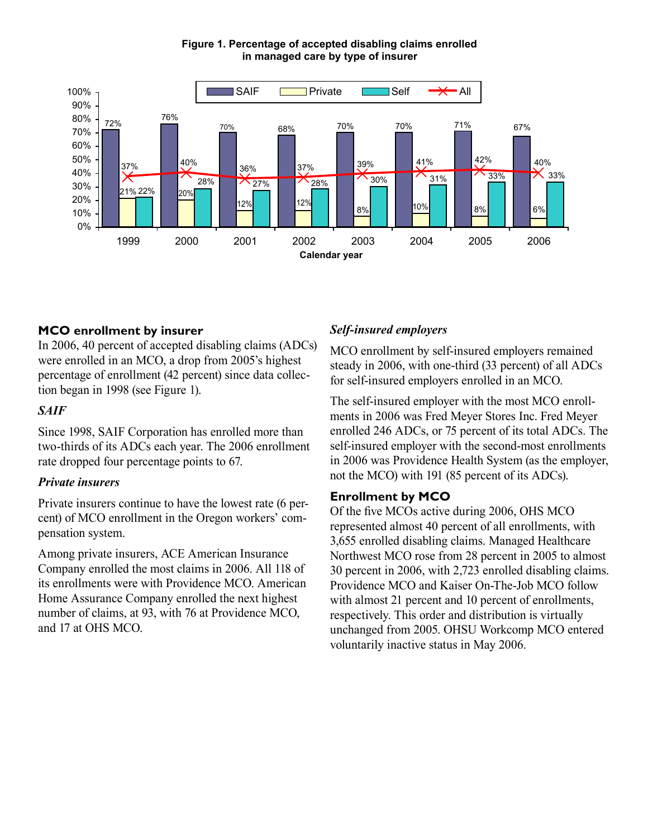

**Figure 1. Percentage of accepted disabling claims enrolled in managed care by type of insurer**

## **MCO enrollment by insurer**

In 2006, 40 percent of accepted disabling claims (ADCs) were enrolled in an MCO, a drop from 2005's highest percentage of enrollment (42 percent) since data collection began in 1998 (see Figure 1).

## *SAIF*

Since 1998, SAIF Corporation has enrolled more than two-thirds of its ADCs each year. The 2006 enrollment rate dropped four percentage points to 67.

## *Private insurers*

Private insurers continue to have the lowest rate (6 percent) of MCO enrollment in the Oregon workers' compensation system.

Among private insurers, ACE American Insurance Company enrolled the most claims in 2006. All 118 of its enrollments were with Providence MCO. American Home Assurance Company enrolled the next highest number of claims, at 93, with 76 at Providence MCO, and 17 at OHS MCO.

# *Self-insured employers*

MCO enrollment by self-insured employers remained steady in 2006, with one-third (33 percent) of all ADCs for self-insured employers enrolled in an MCO.

The self-insured employer with the most MCO enrollments in 2006 was Fred Meyer Stores Inc. Fred Meyer enrolled 246 ADCs, or 75 percent of its total ADCs. The self-insured employer with the second-most enrollments in 2006 was Providence Health System (as the employer, not the MCO) with 191 (85 percent of its ADCs).

# **Enrollment by MCO**

Of the five MCOs active during 2006, OHS MCO represented almost 40 percent of all enrollments, with 3,655 enrolled disabling claims. Managed Healthcare Northwest MCO rose from 28 percent in 2005 to almost 30 percent in 2006, with 2,723 enrolled disabling claims. Providence MCO and Kaiser On-The-Job MCO follow with almost 21 percent and 10 percent of enrollments, respectively. This order and distribution is virtually unchanged from 2005. OHSU Workcomp MCO entered voluntarily inactive status in May 2006.